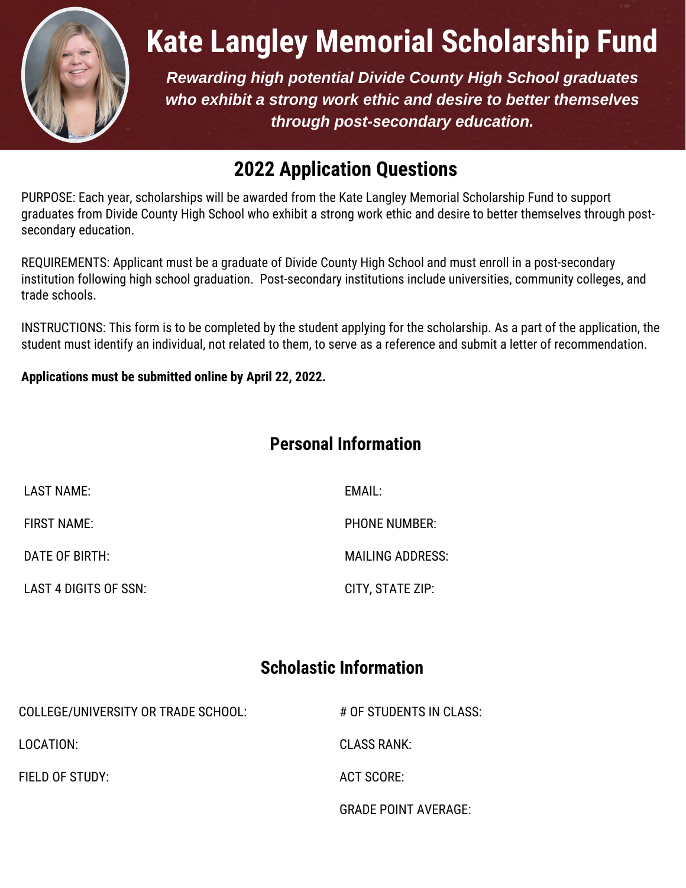

# **Kate Langley Memorial Scholarship Fund**

*Rewarding high potential Divide County High School graduates who exhibit a strong work ethic and desire to better themselves through post-secondary education.*

## **2022 Application Questions**

PURPOSE: Each year, scholarships will be awarded from the Kate Langley Memorial Scholarship Fund to support graduates from Divide County High School who exhibit a strong work ethic and desire to better themselves through postsecondary education.

REQUIREMENTS: Applicant must be a graduate of Divide County High School and must enroll in a post-secondary institution following high school graduation. Post-secondary institutions include universities, community colleges, and trade schools.

INSTRUCTIONS: This form is to be completed by the student applying for the scholarship. As a part of the application, the student must identify an individual, not related to them, to serve as a reference and submit a letter of recommendation.

#### **Applications must be submitted online by April 22, 2022.**

#### **Personal Information**

| LAST NAME:            | EMAIL:                  |
|-----------------------|-------------------------|
| FIRST NAME:           | <b>PHONE NUMBER:</b>    |
| DATE OF BIRTH:        | <b>MAILING ADDRESS:</b> |
| LAST 4 DIGITS OF SSN: | CITY, STATE ZIP:        |

#### **Scholastic Information**

| COLLEGE/UNIVERSITY OR TRADE SCHOOL: | # OF STUDENTS IN CLASS:     |
|-------------------------------------|-----------------------------|
| LOCATION:                           | CLASS RANK:                 |
| FIELD OF STUDY:                     | ACT SCORE:                  |
|                                     | <b>GRADE POINT AVERAGE:</b> |